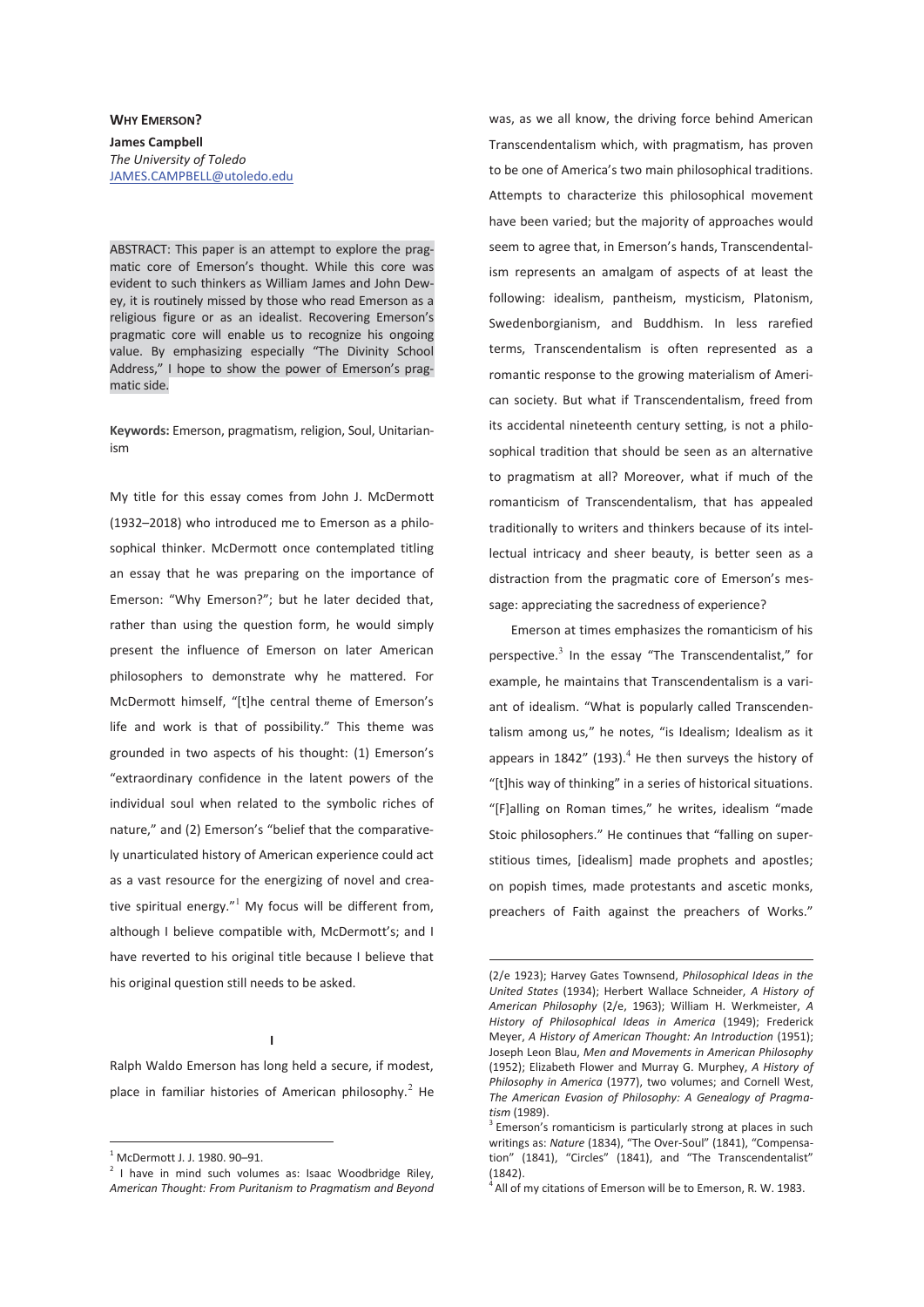## **WHY EMERSON? James Campbell**  *The University of Toledo*  JAMES.CAMPBELL@utoledo.edu

ABSTRACT: This paper is an attempt to explore the pragmatic core of Emerson's thought. While this core was evident to such thinkers as William James and John Dewey, it is routinely missed by those who read Emerson as a religious figure or as an idealist. Recovering Emerson's pragmatic core will enable us to recognize his ongoing value. By emphasizing especially "The Divinity School Address," I hope to show the power of Emerson's pragmatic side.

**Keywords:** Emerson, pragmatism, religion, Soul, Unitarianism

My title for this essay comes from John J. McDermott (1932–2018) who introduced me to Emerson as a philosophical thinker. McDermott once contemplated titling an essay that he was preparing on the importance of Emerson: "Why Emerson?"; but he later decided that, rather than using the question form, he would simply present the influence of Emerson on later American philosophers to demonstrate why he mattered. For McDermott himself, "[t]he central theme of Emerson's life and work is that of possibility." This theme was grounded in two aspects of his thought: (1) Emerson's "extraordinary confidence in the latent powers of the individual soul when related to the symbolic riches of nature," and (2) Emerson's "belief that the comparatively unarticulated history of American experience could act as a vast resource for the energizing of novel and creative spiritual energy." $^1$  My focus will be different from, although I believe compatible with, McDermott's; and I have reverted to his original title because I believe that his original question still needs to be asked.

**I** 

Ralph Waldo Emerson has long held a secure, if modest, place in familiar histories of American philosophy. $^2$  He

 $\overline{a}$ 

 $2$  I have in mind such volumes as: Isaac Woodbridge Riley, *American Thought: From Puritanism to Pragmatism and Beyond*

was, as we all know, the driving force behind American Transcendentalism which, with pragmatism, has proven to be one of America's two main philosophical traditions. Attempts to characterize this philosophical movement have been varied; but the majority of approaches would seem to agree that, in Emerson's hands, Transcendentalism represents an amalgam of aspects of at least the following: idealism, pantheism, mysticism, Platonism, Swedenborgianism, and Buddhism. In less rarefied terms, Transcendentalism is often represented as a romantic response to the growing materialism of American society. But what if Transcendentalism, freed from its accidental nineteenth century setting, is not a philosophical tradition that should be seen as an alternative to pragmatism at all? Moreover, what if much of the romanticism of Transcendentalism, that has appealed traditionally to writers and thinkers because of its intellectual intricacy and sheer beauty, is better seen as a distraction from the pragmatic core of Emerson's message: appreciating the sacredness of experience?

Emerson at times emphasizes the romanticism of his perspective.<sup>3</sup> In the essay "The Transcendentalist," for example, he maintains that Transcendentalism is a variant of idealism. "What is popularly called Transcendentalism among us," he notes, "is Idealism; Idealism as it appears in  $1842''$  (193).<sup>4</sup> He then surveys the history of "[t]his way of thinking" in a series of historical situations. "[F]alling on Roman times," he writes, idealism "made Stoic philosophers." He continues that "falling on superstitious times, [idealism] made prophets and apostles; on popish times, made protestants and ascetic monks, preachers of Faith against the preachers of Works."

-

<sup>1</sup> McDermott J. J. 1980. 90–91.

<sup>(2/</sup>e 1923); Harvey Gates Townsend, *Philosophical Ideas in the United States* (1934); Herbert Wallace Schneider, *A History of American Philosophy* (2/e, 1963); William H. Werkmeister, *A History of Philosophical Ideas in America* (1949); Frederick Meyer, *A History of American Thought: An Introduction* (1951); Joseph Leon Blau, *Men and Movements in American Philosophy* (1952); Elizabeth Flower and Murray G. Murphey, *A History of Philosophy in America* (1977), two volumes; and Cornell West, *The American Evasion of Philosophy: A Genealogy of Pragma*tism (1989).<br><sup>3</sup> Emerson's romanticism is particularly strong at places in such

writings as: *Nature* (1834), "The Over-Soul" (1841), "Compensation" (1841), "Circles" (1841), and "The Transcendentalist" (1842).

 $<sup>4</sup>$  All of my citations of Emerson will be to Emerson, R. W. 1983.</sup>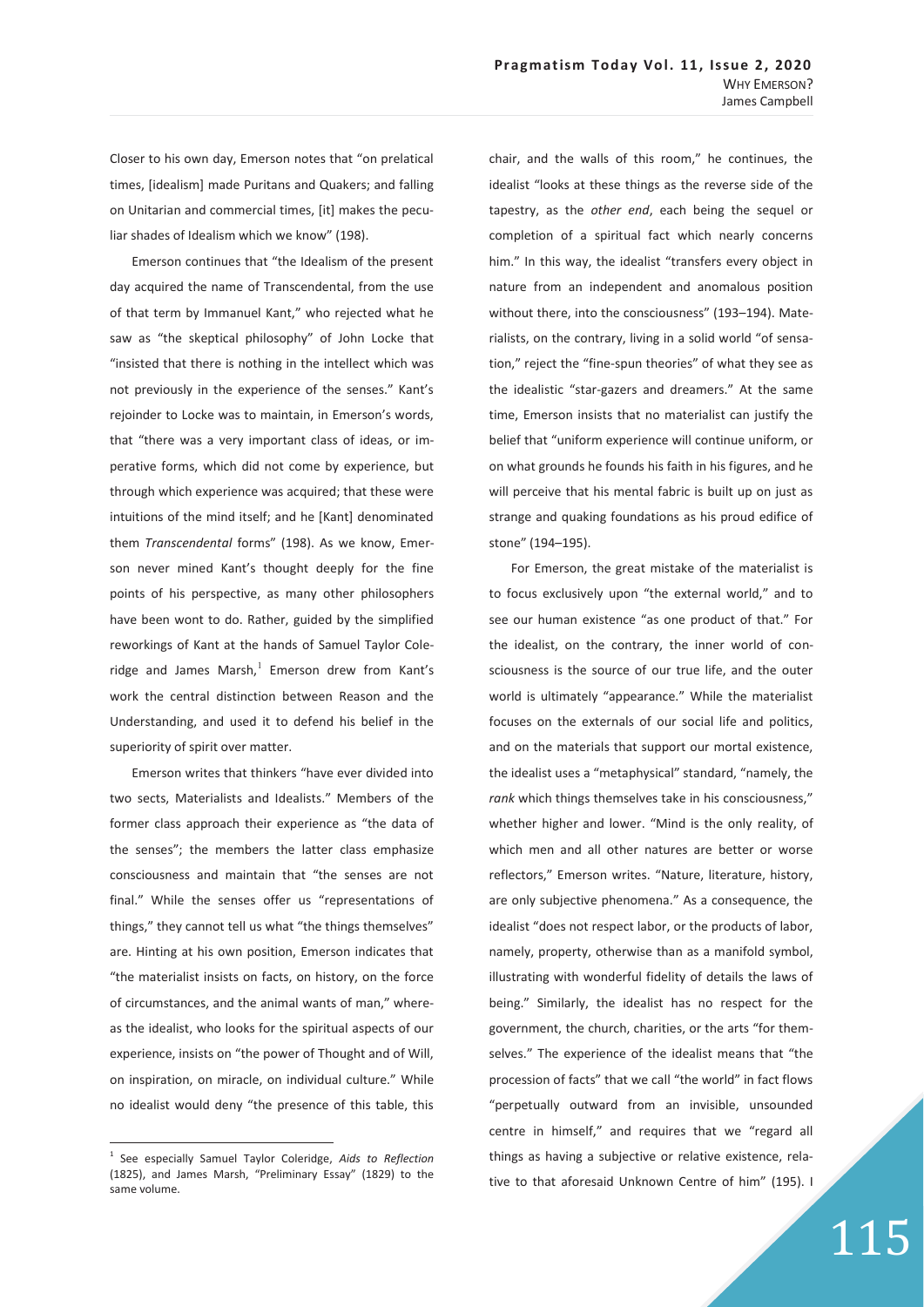Closer to his own day, Emerson notes that "on prelatical times, [idealism] made Puritans and Quakers; and falling on Unitarian and commercial times, [it] makes the peculiar shades of Idealism which we know" (198).

Emerson continues that "the Idealism of the present day acquired the name of Transcendental, from the use of that term by Immanuel Kant," who rejected what he saw as "the skeptical philosophy" of John Locke that "insisted that there is nothing in the intellect which was not previously in the experience of the senses." Kant's rejoinder to Locke was to maintain, in Emerson's words, that "there was a very important class of ideas, or imperative forms, which did not come by experience, but through which experience was acquired; that these were intuitions of the mind itself; and he [Kant] denominated them *Transcendental* forms" (198). As we know, Emerson never mined Kant's thought deeply for the fine points of his perspective, as many other philosophers have been wont to do. Rather, guided by the simplified reworkings of Kant at the hands of Samuel Taylor Coleridge and James Marsh, $^1$  Emerson drew from Kant's work the central distinction between Reason and the Understanding, and used it to defend his belief in the superiority of spirit over matter.

Emerson writes that thinkers "have ever divided into two sects, Materialists and Idealists." Members of the former class approach their experience as "the data of the senses"; the members the latter class emphasize consciousness and maintain that "the senses are not final." While the senses offer us "representations of things," they cannot tell us what "the things themselves" are. Hinting at his own position, Emerson indicates that "the materialist insists on facts, on history, on the force of circumstances, and the animal wants of man," whereas the idealist, who looks for the spiritual aspects of our experience, insists on "the power of Thought and of Will, on inspiration, on miracle, on individual culture." While no idealist would deny "the presence of this table, this

 $\overline{a}$ 

chair, and the walls of this room," he continues, the idealist "looks at these things as the reverse side of the tapestry, as the *other end*, each being the sequel or completion of a spiritual fact which nearly concerns him." In this way, the idealist "transfers every object in nature from an independent and anomalous position without there, into the consciousness" (193–194). Materialists, on the contrary, living in a solid world "of sensation," reject the "fine-spun theories" of what they see as the idealistic "star-gazers and dreamers." At the same time, Emerson insists that no materialist can justify the belief that "uniform experience will continue uniform, or on what grounds he founds his faith in his figures, and he will perceive that his mental fabric is built up on just as strange and quaking foundations as his proud edifice of stone" (194–195).

For Emerson, the great mistake of the materialist is to focus exclusively upon "the external world," and to see our human existence "as one product of that." For the idealist, on the contrary, the inner world of consciousness is the source of our true life, and the outer world is ultimately "appearance." While the materialist focuses on the externals of our social life and politics, and on the materials that support our mortal existence, the idealist uses a "metaphysical" standard, "namely, the *rank* which things themselves take in his consciousness," whether higher and lower. "Mind is the only reality, of which men and all other natures are better or worse reflectors," Emerson writes. "Nature, literature, history, are only subjective phenomena." As a consequence, the idealist "does not respect labor, or the products of labor, namely, property, otherwise than as a manifold symbol, illustrating with wonderful fidelity of details the laws of being." Similarly, the idealist has no respect for the government, the church, charities, or the arts "for themselves." The experience of the idealist means that "the procession of facts" that we call "the world" in fact flows "perpetually outward from an invisible, unsounded centre in himself," and requires that we "regard all things as having a subjective or relative existence, relative to that aforesaid Unknown Centre of him" (195). I

<sup>1</sup> See especially Samuel Taylor Coleridge, *Aids to Reflection* (1825), and James Marsh, "Preliminary Essay" (1829) to the same volume.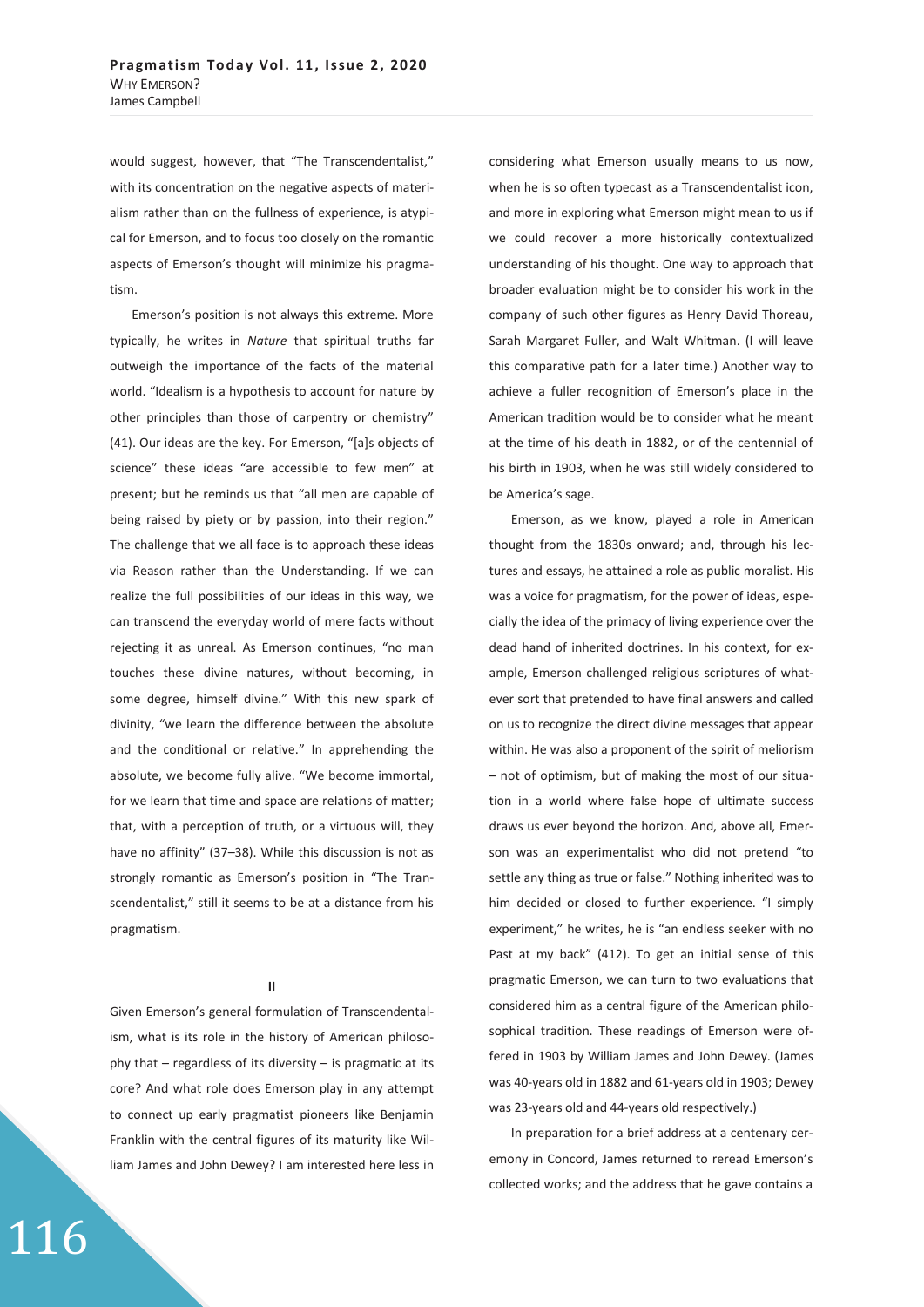would suggest, however, that "The Transcendentalist," with its concentration on the negative aspects of materialism rather than on the fullness of experience, is atypical for Emerson, and to focus too closely on the romantic aspects of Emerson's thought will minimize his pragmatism.

Emerson's position is not always this extreme. More typically, he writes in *Nature* that spiritual truths far outweigh the importance of the facts of the material world. "Idealism is a hypothesis to account for nature by other principles than those of carpentry or chemistry" (41). Our ideas are the key. For Emerson, "[a]s objects of science" these ideas "are accessible to few men" at present; but he reminds us that "all men are capable of being raised by piety or by passion, into their region." The challenge that we all face is to approach these ideas via Reason rather than the Understanding. If we can realize the full possibilities of our ideas in this way, we can transcend the everyday world of mere facts without rejecting it as unreal. As Emerson continues, "no man touches these divine natures, without becoming, in some degree, himself divine." With this new spark of divinity, "we learn the difference between the absolute and the conditional or relative." In apprehending the absolute, we become fully alive. "We become immortal, for we learn that time and space are relations of matter; that, with a perception of truth, or a virtuous will, they have no affinity" (37-38). While this discussion is not as strongly romantic as Emerson's position in "The Transcendentalist," still it seems to be at a distance from his pragmatism.

### **II**

Given Emerson's general formulation of Transcendentalism, what is its role in the history of American philosophy that – regardless of its diversity – is pragmatic at its core? And what role does Emerson play in any attempt to connect up early pragmatist pioneers like Benjamin Franklin with the central figures of its maturity like William James and John Dewey? I am interested here less in

116

considering what Emerson usually means to us now, when he is so often typecast as a Transcendentalist icon, and more in exploring what Emerson might mean to us if we could recover a more historically contextualized understanding of his thought. One way to approach that broader evaluation might be to consider his work in the company of such other figures as Henry David Thoreau, Sarah Margaret Fuller, and Walt Whitman. (I will leave this comparative path for a later time.) Another way to achieve a fuller recognition of Emerson's place in the American tradition would be to consider what he meant at the time of his death in 1882, or of the centennial of his birth in 1903, when he was still widely considered to be America's sage.

Emerson, as we know, played a role in American thought from the 1830s onward; and, through his lectures and essays, he attained a role as public moralist. His was a voice for pragmatism, for the power of ideas, especially the idea of the primacy of living experience over the dead hand of inherited doctrines. In his context, for example, Emerson challenged religious scriptures of whatever sort that pretended to have final answers and called on us to recognize the direct divine messages that appear within. He was also a proponent of the spirit of meliorism – not of optimism, but of making the most of our situation in a world where false hope of ultimate success draws us ever beyond the horizon. And, above all, Emerson was an experimentalist who did not pretend "to settle any thing as true or false." Nothing inherited was to him decided or closed to further experience. "I simply experiment," he writes, he is "an endless seeker with no Past at my back" (412). To get an initial sense of this pragmatic Emerson, we can turn to two evaluations that considered him as a central figure of the American philosophical tradition. These readings of Emerson were offered in 1903 by William James and John Dewey. (James was 40-years old in 1882 and 61-years old in 1903; Dewey was 23-years old and 44-years old respectively.)

In preparation for a brief address at a centenary ceremony in Concord, James returned to reread Emerson's collected works; and the address that he gave contains a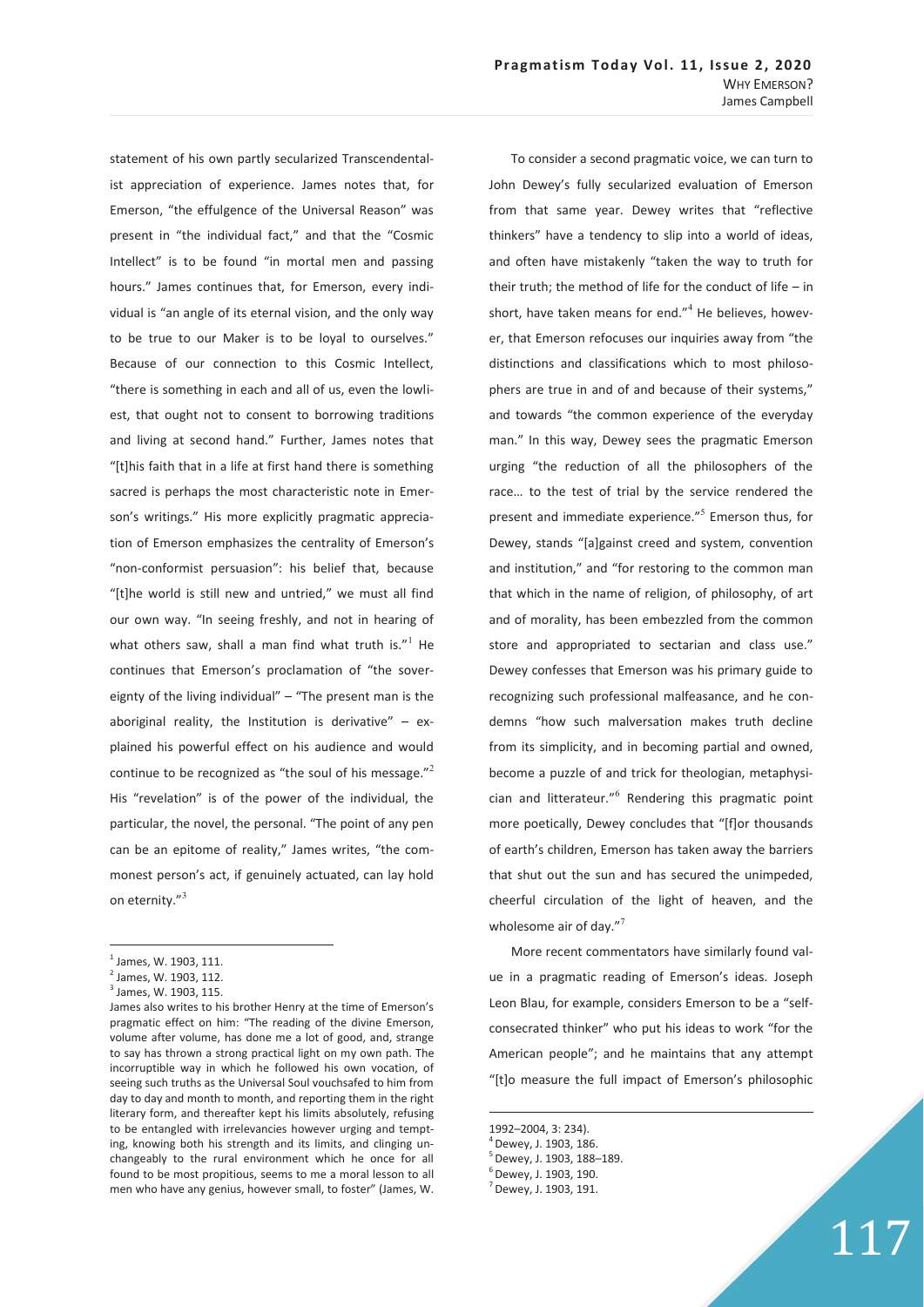To consider a second pragmatic voice, we can turn to

statement of his own partly secularized Transcendentalist appreciation of experience. James notes that, for Emerson, "the effulgence of the Universal Reason" was present in "the individual fact," and that the "Cosmic Intellect" is to be found "in mortal men and passing hours." James continues that, for Emerson, every individual is "an angle of its eternal vision, and the only way to be true to our Maker is to be loyal to ourselves." Because of our connection to this Cosmic Intellect, "there is something in each and all of us, even the lowliest, that ought not to consent to borrowing traditions and living at second hand." Further, James notes that "[t]his faith that in a life at first hand there is something sacred is perhaps the most characteristic note in Emerson's writings." His more explicitly pragmatic appreciation of Emerson emphasizes the centrality of Emerson's "non-conformist persuasion": his belief that, because "[t]he world is still new and untried," we must all find our own way. "In seeing freshly, and not in hearing of what others saw, shall a man find what truth is. $"$ <sup>1</sup> He continues that Emerson's proclamation of "the sovereignty of the living individual" – "The present man is the aboriginal reality, the Institution is derivative"  $-$  explained his powerful effect on his audience and would continue to be recognized as "the soul of his message."<sup>2</sup> His "revelation" is of the power of the individual, the particular, the novel, the personal. "The point of any pen can be an epitome of reality," James writes, "the commonest person's act, if genuinely actuated, can lay hold on eternity."<sup>3</sup>

 $\overline{a}$ 

John Dewey's fully secularized evaluation of Emerson from that same year. Dewey writes that "reflective thinkers" have a tendency to slip into a world of ideas, and often have mistakenly "taken the way to truth for their truth; the method of life for the conduct of life – in short, have taken means for end."<sup>4</sup> He believes, however, that Emerson refocuses our inquiries away from "the distinctions and classifications which to most philosophers are true in and of and because of their systems," and towards "the common experience of the everyday man." In this way, Dewey sees the pragmatic Emerson urging "the reduction of all the philosophers of the race… to the test of trial by the service rendered the present and immediate experience."<sup>5</sup> Emerson thus, for Dewey, stands "[a]gainst creed and system, convention and institution," and "for restoring to the common man that which in the name of religion, of philosophy, of art and of morality, has been embezzled from the common store and appropriated to sectarian and class use." Dewey confesses that Emerson was his primary guide to recognizing such professional malfeasance, and he condemns "how such malversation makes truth decline from its simplicity, and in becoming partial and owned, become a puzzle of and trick for theologian, metaphysician and litterateur."<sup>6</sup> Rendering this pragmatic point more poetically, Dewey concludes that "[f]or thousands of earth's children, Emerson has taken away the barriers that shut out the sun and has secured the unimpeded, cheerful circulation of the light of heaven, and the wholesome air of day. $n^7$ 

More recent commentators have similarly found value in a pragmatic reading of Emerson's ideas. Joseph Leon Blau, for example, considers Emerson to be a "selfconsecrated thinker" who put his ideas to work "for the American people"; and he maintains that any attempt "[t]o measure the full impact of Emerson's philosophic

 $\overline{a}$ 

<sup>&</sup>lt;sup>1</sup> James, W. 1903, 111.

<sup>&</sup>lt;sup>2</sup> James, W. 1903, 112.

<sup>&</sup>lt;sup>3</sup> James, W. 1903, 115.

James also writes to his brother Henry at the time of Emerson's pragmatic effect on him: "The reading of the divine Emerson, volume after volume, has done me a lot of good, and, strange to say has thrown a strong practical light on my own path. The incorruptible way in which he followed his own vocation, of seeing such truths as the Universal Soul vouchsafed to him from day to day and month to month, and reporting them in the right literary form, and thereafter kept his limits absolutely, refusing to be entangled with irrelevancies however urging and tempting, knowing both his strength and its limits, and clinging unchangeably to the rural environment which he once for all found to be most propitious, seems to me a moral lesson to all men who have any genius, however small, to foster" (James, W.

<sup>1992–2004, 3: 234).</sup> 

 $^4$  Dewev. J. 1903. 186.

<sup>5</sup> Dewey, J. 1903, 188–189.

<sup>6</sup> Dewey, J. 1903, 190.

 $<sup>7</sup>$  Dewey, J. 1903, 191.</sup>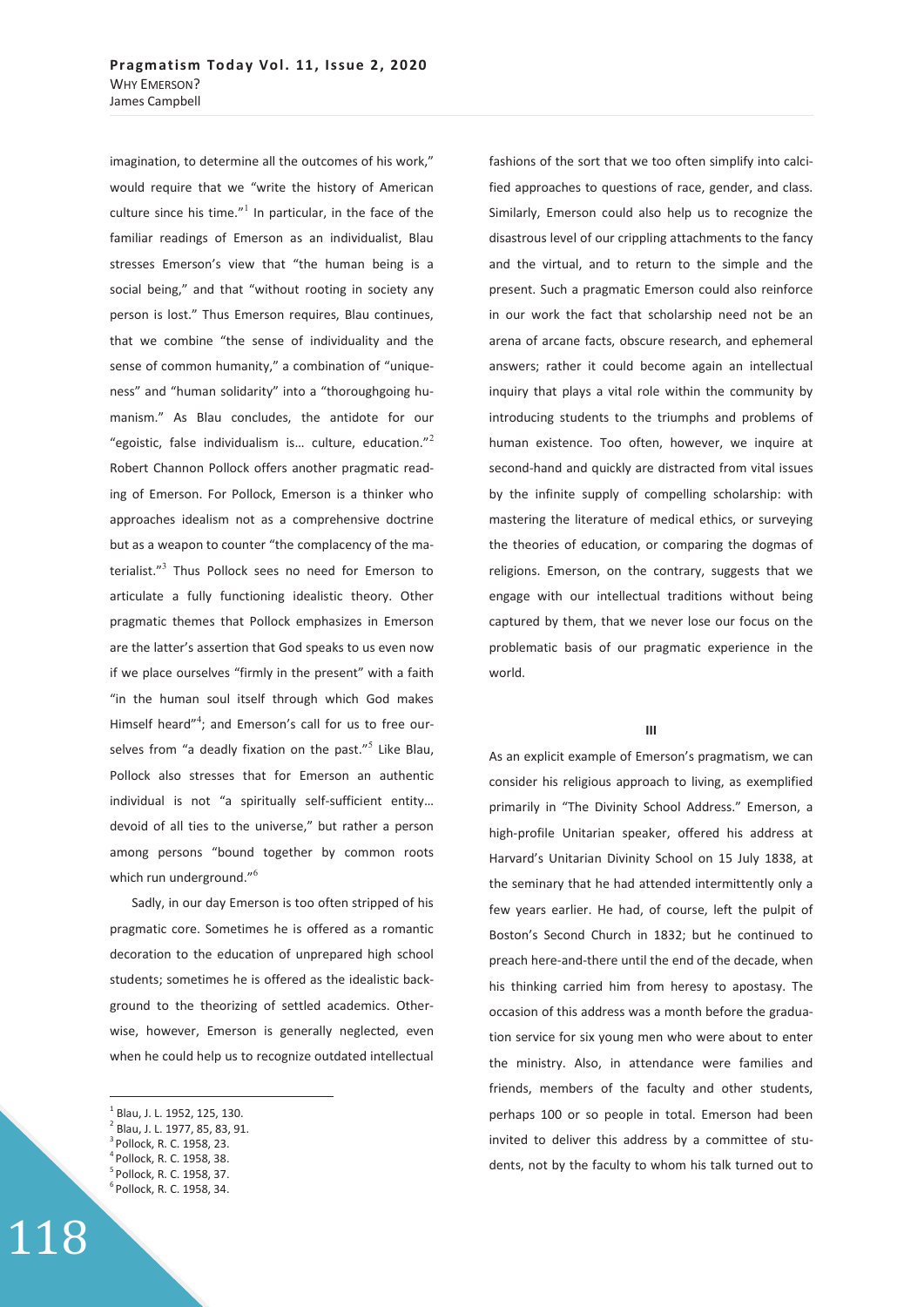imagination, to determine all the outcomes of his work," would require that we "write the history of American culture since his time." $1$  In particular, in the face of the familiar readings of Emerson as an individualist, Blau stresses Emerson's view that "the human being is a social being," and that "without rooting in society any person is lost." Thus Emerson requires, Blau continues, that we combine "the sense of individuality and the sense of common humanity," a combination of "uniqueness" and "human solidarity" into a "thoroughgoing humanism." As Blau concludes, the antidote for our "egoistic, false individualism is... culture, education."<sup>2</sup> Robert Channon Pollock offers another pragmatic reading of Emerson. For Pollock, Emerson is a thinker who approaches idealism not as a comprehensive doctrine but as a weapon to counter "the complacency of the materialist."<sup>3</sup> Thus Pollock sees no need for Emerson to articulate a fully functioning idealistic theory. Other pragmatic themes that Pollock emphasizes in Emerson are the latter's assertion that God speaks to us even now if we place ourselves "firmly in the present" with a faith "in the human soul itself through which God makes Himself heard"<sup>4</sup>; and Emerson's call for us to free ourselves from "a deadly fixation on the past."<sup>5</sup> Like Blau, Pollock also stresses that for Emerson an authentic individual is not "a spiritually self-sufficient entity… devoid of all ties to the universe," but rather a person among persons "bound together by common roots which run underground."<sup>6</sup>

Sadly, in our day Emerson is too often stripped of his pragmatic core. Sometimes he is offered as a romantic decoration to the education of unprepared high school students; sometimes he is offered as the idealistic background to the theorizing of settled academics. Otherwise, however, Emerson is generally neglected, even when he could help us to recognize outdated intellectual

 $\overline{a}$ 

4 Pollock, R. C. 1958, 38. 5 Pollock, R. C. 1958, 37.

118

fashions of the sort that we too often simplify into calcified approaches to questions of race, gender, and class. Similarly, Emerson could also help us to recognize the disastrous level of our crippling attachments to the fancy and the virtual, and to return to the simple and the present. Such a pragmatic Emerson could also reinforce in our work the fact that scholarship need not be an arena of arcane facts, obscure research, and ephemeral answers; rather it could become again an intellectual inquiry that plays a vital role within the community by introducing students to the triumphs and problems of human existence. Too often, however, we inquire at second-hand and quickly are distracted from vital issues by the infinite supply of compelling scholarship: with mastering the literature of medical ethics, or surveying the theories of education, or comparing the dogmas of religions. Emerson, on the contrary, suggests that we engage with our intellectual traditions without being captured by them, that we never lose our focus on the problematic basis of our pragmatic experience in the world.

### **III**

As an explicit example of Emerson's pragmatism, we can consider his religious approach to living, as exemplified primarily in "The Divinity School Address." Emerson, a high-profile Unitarian speaker, offered his address at Harvard's Unitarian Divinity School on 15 July 1838, at the seminary that he had attended intermittently only a few years earlier. He had, of course, left the pulpit of Boston's Second Church in 1832; but he continued to preach here-and-there until the end of the decade, when his thinking carried him from heresy to apostasy. The occasion of this address was a month before the graduation service for six young men who were about to enter the ministry. Also, in attendance were families and friends, members of the faculty and other students, perhaps 100 or so people in total. Emerson had been invited to deliver this address by a committee of students, not by the faculty to whom his talk turned out to

<sup>&</sup>lt;sup>1</sup> Blau, J. L. 1952, 125, 130.

<sup>&</sup>lt;sup>2</sup> Blau, J. L. 1977, 85, 83, 91.

<sup>3</sup> Pollock, R. C. 1958, 23.

 $6$  Pollock, R. C. 1958, 34.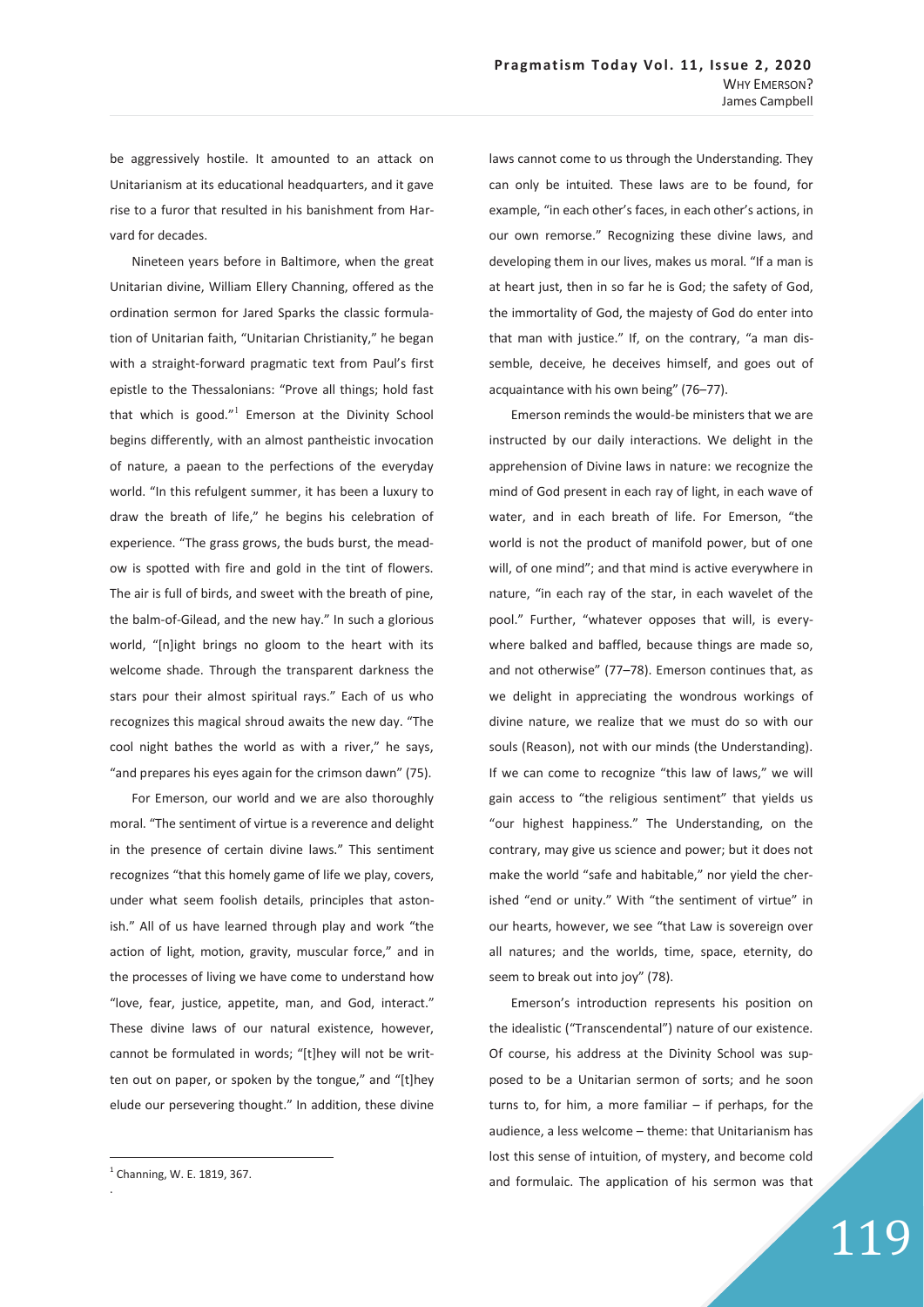be aggressively hostile. It amounted to an attack on Unitarianism at its educational headquarters, and it gave rise to a furor that resulted in his banishment from Harvard for decades.

Nineteen years before in Baltimore, when the great Unitarian divine, William Ellery Channing, offered as the ordination sermon for Jared Sparks the classic formulation of Unitarian faith, "Unitarian Christianity," he began with a straight-forward pragmatic text from Paul's first epistle to the Thessalonians: "Prove all things; hold fast that which is good."<sup>1</sup> Emerson at the Divinity School begins differently, with an almost pantheistic invocation of nature, a paean to the perfections of the everyday world. "In this refulgent summer, it has been a luxury to draw the breath of life," he begins his celebration of experience. "The grass grows, the buds burst, the meadow is spotted with fire and gold in the tint of flowers. The air is full of birds, and sweet with the breath of pine, the balm-of-Gilead, and the new hay." In such a glorious world, "[n]ight brings no gloom to the heart with its welcome shade. Through the transparent darkness the stars pour their almost spiritual rays." Each of us who recognizes this magical shroud awaits the new day. "The cool night bathes the world as with a river," he says, "and prepares his eyes again for the crimson dawn" (75).

For Emerson, our world and we are also thoroughly moral. "The sentiment of virtue is a reverence and delight in the presence of certain divine laws." This sentiment recognizes "that this homely game of life we play, covers, under what seem foolish details, principles that astonish." All of us have learned through play and work "the action of light, motion, gravity, muscular force," and in the processes of living we have come to understand how "love, fear, justice, appetite, man, and God, interact." These divine laws of our natural existence, however, cannot be formulated in words; "[t]hey will not be written out on paper, or spoken by the tongue," and "[t]hey elude our persevering thought." In addition, these divine

 $\overline{a}$ 

.

laws cannot come to us through the Understanding. They can only be intuited. These laws are to be found, for example, "in each other's faces, in each other's actions, in our own remorse." Recognizing these divine laws, and developing them in our lives, makes us moral. "If a man is at heart just, then in so far he is God; the safety of God, the immortality of God, the majesty of God do enter into that man with justice." If, on the contrary, "a man dissemble, deceive, he deceives himself, and goes out of acquaintance with his own being" (76–77).

Emerson reminds the would-be ministers that we are instructed by our daily interactions. We delight in the apprehension of Divine laws in nature: we recognize the mind of God present in each ray of light, in each wave of water, and in each breath of life. For Emerson, "the world is not the product of manifold power, but of one will, of one mind"; and that mind is active everywhere in nature, "in each ray of the star, in each wavelet of the pool." Further, "whatever opposes that will, is everywhere balked and baffled, because things are made so, and not otherwise" (77–78). Emerson continues that, as we delight in appreciating the wondrous workings of divine nature, we realize that we must do so with our souls (Reason), not with our minds (the Understanding). If we can come to recognize "this law of laws," we will gain access to "the religious sentiment" that yields us "our highest happiness." The Understanding, on the contrary, may give us science and power; but it does not make the world "safe and habitable," nor yield the cherished "end or unity." With "the sentiment of virtue" in our hearts, however, we see "that Law is sovereign over all natures; and the worlds, time, space, eternity, do seem to break out into joy" (78).

Emerson's introduction represents his position on the idealistic ("Transcendental") nature of our existence. Of course, his address at the Divinity School was supposed to be a Unitarian sermon of sorts; and he soon turns to, for him, a more familiar  $-$  if perhaps, for the audience, a less welcome – theme: that Unitarianism has lost this sense of intuition, of mystery, and become cold and formulaic. The application of his sermon was that

<sup>1</sup> Channing, W. E. 1819, 367.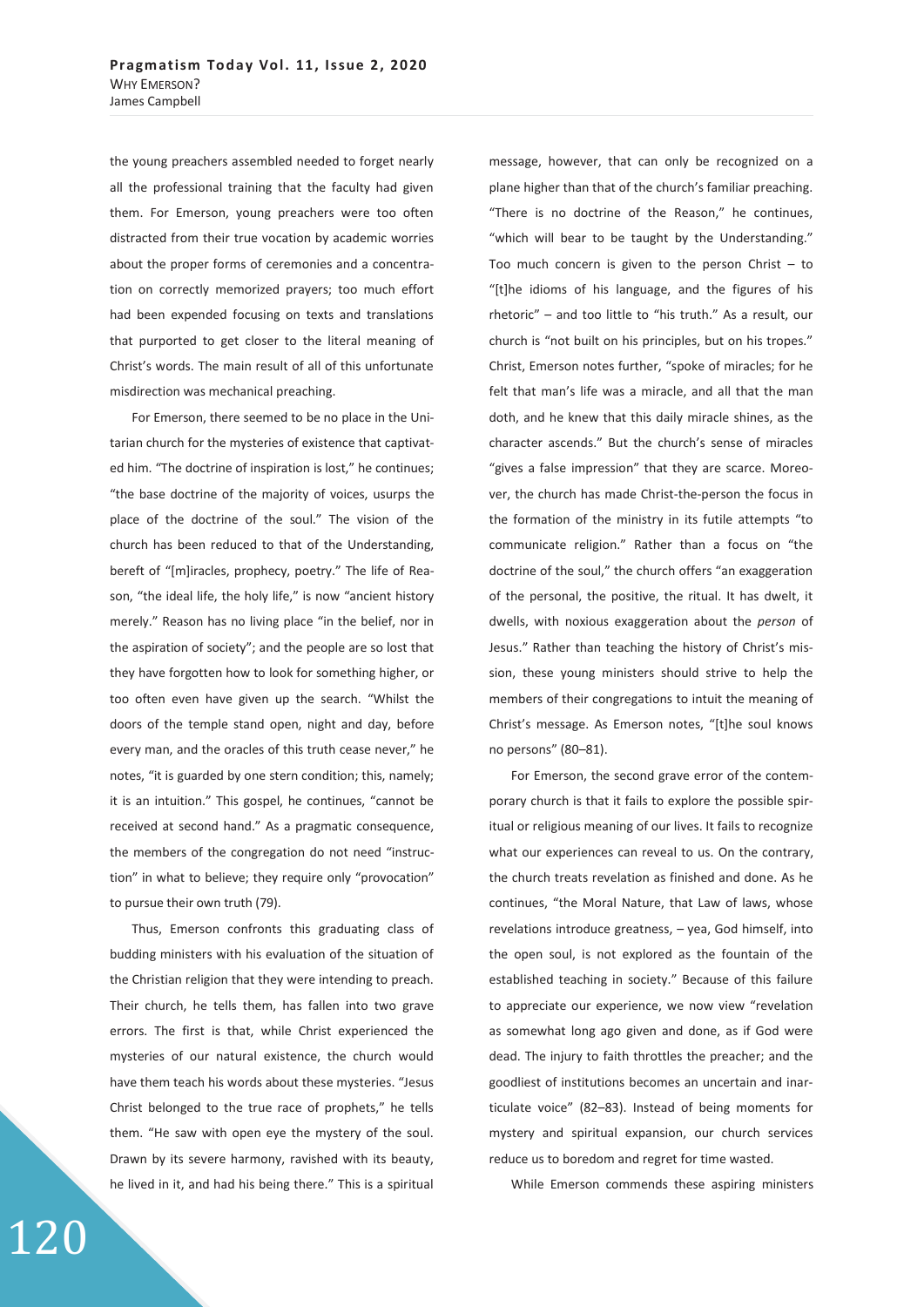the young preachers assembled needed to forget nearly all the professional training that the faculty had given them. For Emerson, young preachers were too often distracted from their true vocation by academic worries about the proper forms of ceremonies and a concentration on correctly memorized prayers; too much effort had been expended focusing on texts and translations that purported to get closer to the literal meaning of Christ's words. The main result of all of this unfortunate misdirection was mechanical preaching.

For Emerson, there seemed to be no place in the Unitarian church for the mysteries of existence that captivated him. "The doctrine of inspiration is lost," he continues; "the base doctrine of the majority of voices, usurps the place of the doctrine of the soul." The vision of the church has been reduced to that of the Understanding, bereft of "[m]iracles, prophecy, poetry." The life of Reason, "the ideal life, the holy life," is now "ancient history merely." Reason has no living place "in the belief, nor in the aspiration of society"; and the people are so lost that they have forgotten how to look for something higher, or too often even have given up the search. "Whilst the doors of the temple stand open, night and day, before every man, and the oracles of this truth cease never," he notes, "it is guarded by one stern condition; this, namely; it is an intuition." This gospel, he continues, "cannot be received at second hand." As a pragmatic consequence, the members of the congregation do not need "instruction" in what to believe; they require only "provocation" to pursue their own truth (79).

Thus, Emerson confronts this graduating class of budding ministers with his evaluation of the situation of the Christian religion that they were intending to preach. Their church, he tells them, has fallen into two grave errors. The first is that, while Christ experienced the mysteries of our natural existence, the church would have them teach his words about these mysteries. "Jesus Christ belonged to the true race of prophets," he tells them. "He saw with open eye the mystery of the soul. Drawn by its severe harmony, ravished with its beauty, he lived in it, and had his being there." This is a spiritual

message, however, that can only be recognized on a plane higher than that of the church's familiar preaching. "There is no doctrine of the Reason," he continues, "which will bear to be taught by the Understanding." Too much concern is given to the person Christ  $-$  to "[t]he idioms of his language, and the figures of his rhetoric" – and too little to "his truth." As a result, our church is "not built on his principles, but on his tropes." Christ, Emerson notes further, "spoke of miracles; for he felt that man's life was a miracle, and all that the man doth, and he knew that this daily miracle shines, as the character ascends." But the church's sense of miracles "gives a false impression" that they are scarce. Moreover, the church has made Christ-the-person the focus in the formation of the ministry in its futile attempts "to communicate religion." Rather than a focus on "the doctrine of the soul," the church offers "an exaggeration of the personal, the positive, the ritual. It has dwelt, it dwells, with noxious exaggeration about the *person* of Jesus." Rather than teaching the history of Christ's mission, these young ministers should strive to help the members of their congregations to intuit the meaning of Christ's message. As Emerson notes, "[t]he soul knows no persons" (80–81).

For Emerson, the second grave error of the contemporary church is that it fails to explore the possible spiritual or religious meaning of our lives. It fails to recognize what our experiences can reveal to us. On the contrary, the church treats revelation as finished and done. As he continues, "the Moral Nature, that Law of laws, whose revelations introduce greatness, – yea, God himself, into the open soul, is not explored as the fountain of the established teaching in society." Because of this failure to appreciate our experience, we now view "revelation as somewhat long ago given and done, as if God were dead. The injury to faith throttles the preacher; and the goodliest of institutions becomes an uncertain and inarticulate voice" (82–83). Instead of being moments for mystery and spiritual expansion, our church services reduce us to boredom and regret for time wasted.

While Emerson commends these aspiring ministers

120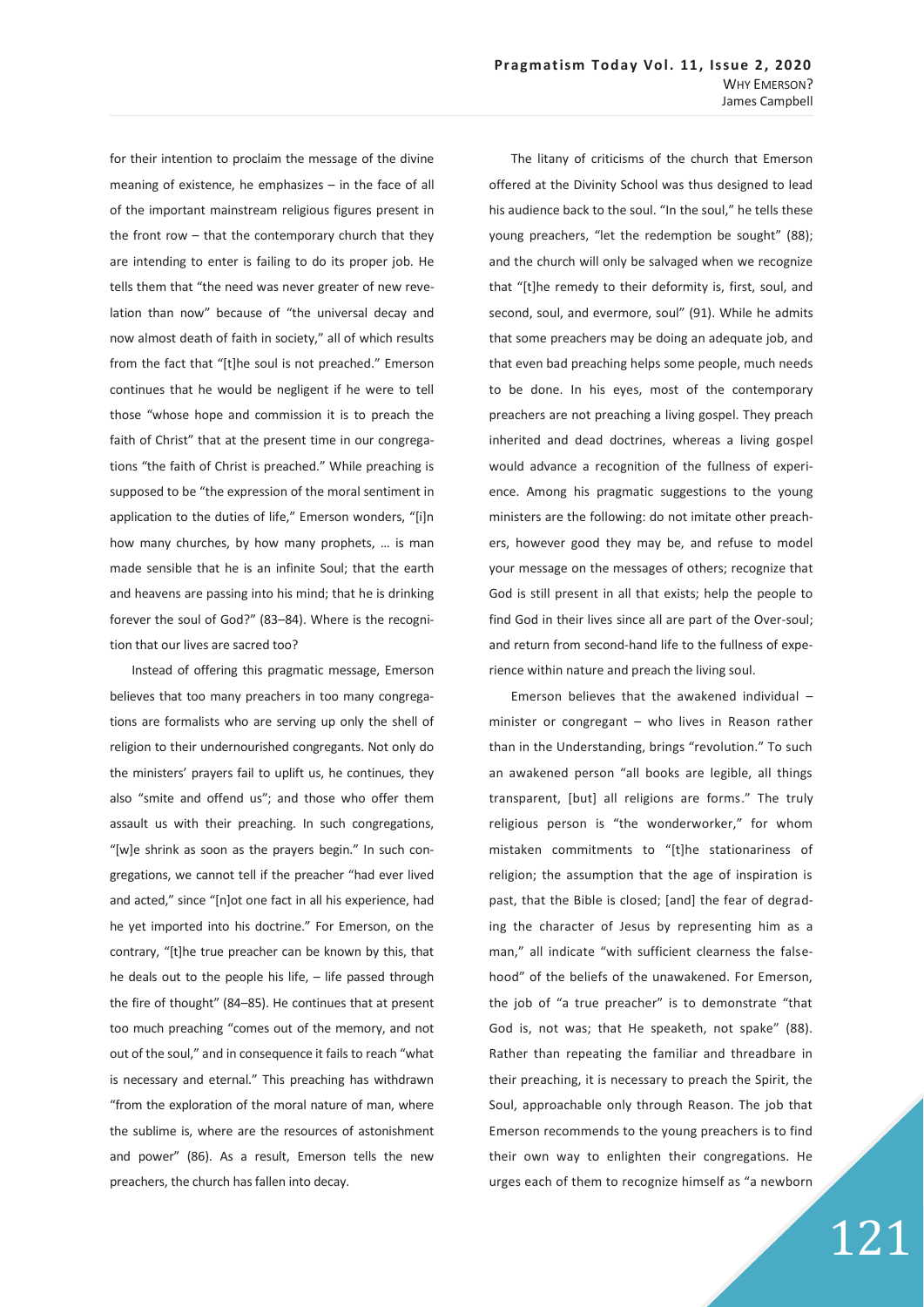for their intention to proclaim the message of the divine meaning of existence, he emphasizes – in the face of all of the important mainstream religious figures present in the front row – that the contemporary church that they are intending to enter is failing to do its proper job. He tells them that "the need was never greater of new revelation than now" because of "the universal decay and now almost death of faith in society," all of which results from the fact that "[t]he soul is not preached." Emerson continues that he would be negligent if he were to tell those "whose hope and commission it is to preach the faith of Christ" that at the present time in our congregations "the faith of Christ is preached." While preaching is supposed to be "the expression of the moral sentiment in application to the duties of life," Emerson wonders, "[i]n how many churches, by how many prophets, … is man made sensible that he is an infinite Soul; that the earth and heavens are passing into his mind; that he is drinking forever the soul of God?" (83–84). Where is the recognition that our lives are sacred too?

Instead of offering this pragmatic message, Emerson believes that too many preachers in too many congregations are formalists who are serving up only the shell of religion to their undernourished congregants. Not only do the ministers' prayers fail to uplift us, he continues, they also "smite and offend us"; and those who offer them assault us with their preaching. In such congregations, "[w]e shrink as soon as the prayers begin." In such congregations, we cannot tell if the preacher "had ever lived and acted," since "[n]ot one fact in all his experience, had he yet imported into his doctrine." For Emerson, on the contrary, "[t]he true preacher can be known by this, that he deals out to the people his life, – life passed through the fire of thought" (84–85). He continues that at present too much preaching "comes out of the memory, and not out of the soul," and in consequence it fails to reach "what is necessary and eternal." This preaching has withdrawn "from the exploration of the moral nature of man, where the sublime is, where are the resources of astonishment and power" (86). As a result, Emerson tells the new preachers, the church has fallen into decay.

The litany of criticisms of the church that Emerson offered at the Divinity School was thus designed to lead his audience back to the soul. "In the soul," he tells these young preachers, "let the redemption be sought" (88); and the church will only be salvaged when we recognize that "[t]he remedy to their deformity is, first, soul, and second, soul, and evermore, soul" (91). While he admits that some preachers may be doing an adequate job, and that even bad preaching helps some people, much needs to be done. In his eyes, most of the contemporary preachers are not preaching a living gospel. They preach inherited and dead doctrines, whereas a living gospel would advance a recognition of the fullness of experience. Among his pragmatic suggestions to the young ministers are the following: do not imitate other preachers, however good they may be, and refuse to model your message on the messages of others; recognize that God is still present in all that exists; help the people to find God in their lives since all are part of the Over-soul; and return from second-hand life to the fullness of experience within nature and preach the living soul.

Emerson believes that the awakened individual – minister or congregant – who lives in Reason rather than in the Understanding, brings "revolution." To such an awakened person "all books are legible, all things transparent, [but] all religions are forms." The truly religious person is "the wonderworker," for whom mistaken commitments to "[t]he stationariness of religion; the assumption that the age of inspiration is past, that the Bible is closed; [and] the fear of degrading the character of Jesus by representing him as a man," all indicate "with sufficient clearness the falsehood" of the beliefs of the unawakened. For Emerson, the job of "a true preacher" is to demonstrate "that God is, not was; that He speaketh, not spake" (88). Rather than repeating the familiar and threadbare in their preaching, it is necessary to preach the Spirit, the Soul, approachable only through Reason. The job that Emerson recommends to the young preachers is to find their own way to enlighten their congregations. He urges each of them to recognize himself as "a newborn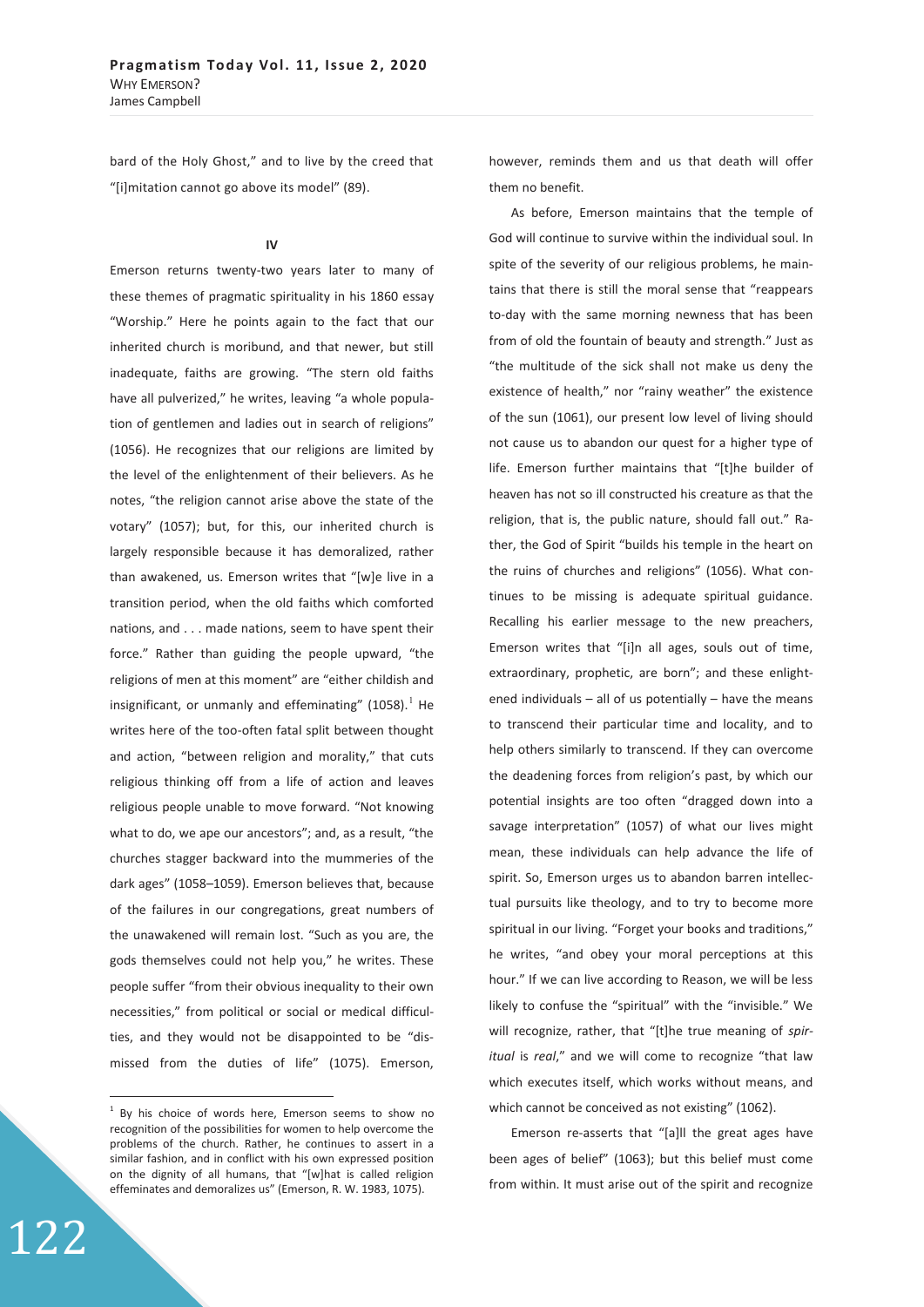bard of the Holy Ghost," and to live by the creed that "[i]mitation cannot go above its model" (89).

## **IV**

Emerson returns twenty-two years later to many of these themes of pragmatic spirituality in his 1860 essay "Worship." Here he points again to the fact that our inherited church is moribund, and that newer, but still inadequate, faiths are growing. "The stern old faiths have all pulverized," he writes, leaving "a whole population of gentlemen and ladies out in search of religions" (1056). He recognizes that our religions are limited by the level of the enlightenment of their believers. As he notes, "the religion cannot arise above the state of the votary" (1057); but, for this, our inherited church is largely responsible because it has demoralized, rather than awakened, us. Emerson writes that "[w]e live in a transition period, when the old faiths which comforted nations, and . . . made nations, seem to have spent their force." Rather than guiding the people upward, "the religions of men at this moment" are "either childish and insignificant, or unmanly and effeminating"  $(1058)^{1}$  He writes here of the too-often fatal split between thought and action, "between religion and morality," that cuts religious thinking off from a life of action and leaves religious people unable to move forward. "Not knowing what to do, we ape our ancestors"; and, as a result, "the churches stagger backward into the mummeries of the dark ages" (1058–1059). Emerson believes that, because of the failures in our congregations, great numbers of the unawakened will remain lost. "Such as you are, the gods themselves could not help you," he writes. These people suffer "from their obvious inequality to their own necessities," from political or social or medical difficulties, and they would not be disappointed to be "dismissed from the duties of life" (1075). Emerson,

however, reminds them and us that death will offer them no benefit.

As before, Emerson maintains that the temple of God will continue to survive within the individual soul. In spite of the severity of our religious problems, he maintains that there is still the moral sense that "reappears to-day with the same morning newness that has been from of old the fountain of beauty and strength." Just as "the multitude of the sick shall not make us deny the existence of health," nor "rainy weather" the existence of the sun (1061), our present low level of living should not cause us to abandon our quest for a higher type of life. Emerson further maintains that "[t]he builder of heaven has not so ill constructed his creature as that the religion, that is, the public nature, should fall out." Rather, the God of Spirit "builds his temple in the heart on the ruins of churches and religions" (1056). What continues to be missing is adequate spiritual guidance. Recalling his earlier message to the new preachers, Emerson writes that "[i]n all ages, souls out of time, extraordinary, prophetic, are born"; and these enlightened individuals  $-$  all of us potentially  $-$  have the means to transcend their particular time and locality, and to help others similarly to transcend. If they can overcome the deadening forces from religion's past, by which our potential insights are too often "dragged down into a savage interpretation" (1057) of what our lives might mean, these individuals can help advance the life of spirit. So, Emerson urges us to abandon barren intellectual pursuits like theology, and to try to become more spiritual in our living. "Forget your books and traditions," he writes, "and obey your moral perceptions at this hour." If we can live according to Reason, we will be less likely to confuse the "spiritual" with the "invisible." We will recognize, rather, that "[t]he true meaning of *spiritual* is *real*," and we will come to recognize "that law which executes itself, which works without means, and which cannot be conceived as not existing" (1062).

Emerson re-asserts that "[a]ll the great ages have been ages of belief" (1063); but this belief must come from within. It must arise out of the spirit and recognize

 $\overline{a}$ 

<sup>&</sup>lt;sup>1</sup> By his choice of words here, Emerson seems to show no recognition of the possibilities for women to help overcome the problems of the church. Rather, he continues to assert in a similar fashion, and in conflict with his own expressed position on the dignity of all humans, that "[w]hat is called religion effeminates and demoralizes us" (Emerson, R. W. 1983, 1075).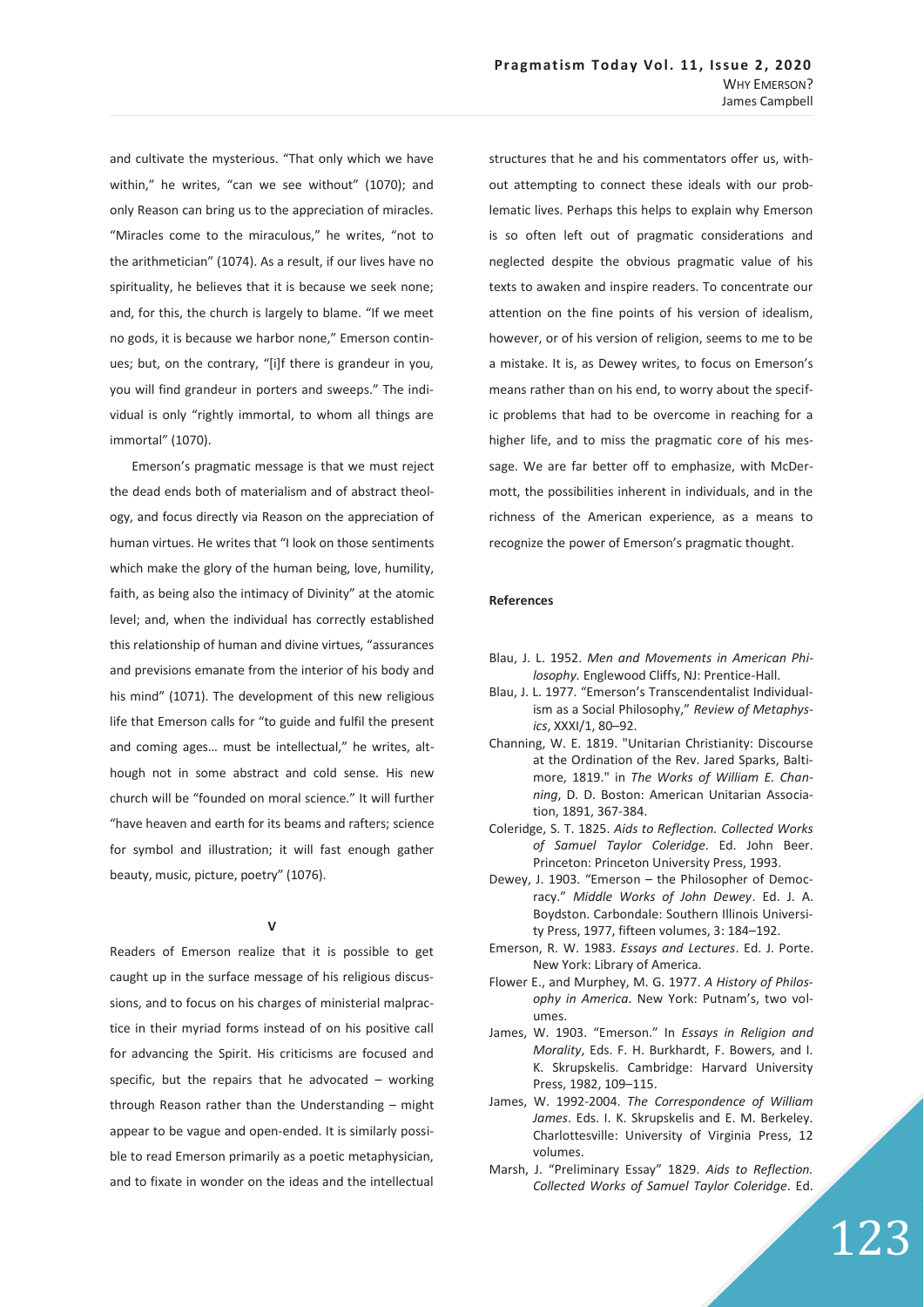and cultivate the mysterious. "That only which we have within," he writes, "can we see without" (1070); and only Reason can bring us to the appreciation of miracles. "Miracles come to the miraculous," he writes, "not to the arithmetician" (1074). As a result, if our lives have no spirituality, he believes that it is because we seek none; and, for this, the church is largely to blame. "If we meet no gods, it is because we harbor none," Emerson continues; but, on the contrary, "[i]f there is grandeur in you, you will find grandeur in porters and sweeps." The individual is only "rightly immortal, to whom all things are immortal" (1070).

Emerson's pragmatic message is that we must reject the dead ends both of materialism and of abstract theology, and focus directly via Reason on the appreciation of human virtues. He writes that "I look on those sentiments which make the glory of the human being, love, humility, faith, as being also the intimacy of Divinity" at the atomic level; and, when the individual has correctly established this relationship of human and divine virtues, "assurances and previsions emanate from the interior of his body and his mind" (1071). The development of this new religious life that Emerson calls for "to guide and fulfil the present and coming ages… must be intellectual," he writes, although not in some abstract and cold sense. His new church will be "founded on moral science" It will further "have heaven and earth for its beams and rafters; science for symbol and illustration; it will fast enough gather beauty, music, picture, poetry" (1076).

## $\mathbf{v}$

Readers of Emerson realize that it is possible to get caught up in the surface message of his religious discussions, and to focus on his charges of ministerial malpractice in their myriad forms instead of on his positive call for advancing the Spirit. His criticisms are focused and specific, but the repairs that he advocated  $-$  working through Reason rather than the Understanding – might appear to be vague and open-ended. It is similarly possible to read Emerson primarily as a poetic metaphysician, and to fixate in wonder on the ideas and the intellectual structures that he and his commentators offer us, without attempting to connect these ideals with our problematic lives. Perhaps this helps to explain why Emerson is so often left out of pragmatic considerations and neglected despite the obvious pragmatic value of his texts to awaken and inspire readers. To concentrate our attention on the fine points of his version of idealism, however, or of his version of religion, seems to me to be a mistake. It is, as Dewey writes, to focus on Emerson's means rather than on his end, to worry about the specific problems that had to be overcome in reaching for a higher life, and to miss the pragmatic core of his message. We are far better off to emphasize, with McDermott, the possibilities inherent in individuals, and in the richness of the American experience, as a means to recognize the power of Emerson's pragmatic thought.

#### **References**

- Blau, J. L. 1952. *Men and Movements in American Philosophy.* Englewood Cliffs, NJ: Prentice-Hall.
- Blau, J. L. 1977. "Emerson's Transcendentalist Individualism as a Social Philosophy," *Review of Metaphysics*, XXXI/1, 80–92.
- Channing, W. E. 1819. "Unitarian Christianity: Discourse at the Ordination of the Rev. Jared Sparks, Baltimore, 1819." in *The Works of William E. Channing*, D. D. Boston: American Unitarian Association, 1891, 367-384.
- Coleridge, S. T. 1825. *Aids to Reflection. Collected Works of Samuel Taylor Coleridge*. Ed. John Beer. Princeton: Princeton University Press, 1993.
- Dewey, J. 1903. "Emerson the Philosopher of Democracy." *Middle Works of John Dewey*. Ed. J. A. Boydston. Carbondale: Southern Illinois University Press, 1977, fifteen volumes, 3: 184–192.
- Emerson, R. W. 1983. *Essays and Lectures*. Ed. J. Porte. New York: Library of America.
- Flower E., and Murphey, M. G. 1977. *A History of Philosophy in America*. New York: Putnam's, two volumes.
- James, W. 1903. "Emerson." In *Essays in Religion and Morality*, Eds. F. H. Burkhardt, F. Bowers, and I. K. Skrupskelis. Cambridge: Harvard University Press, 1982, 109–115.
- James, W. 1992-2004. *The Correspondence of William James*. Eds. I. K. Skrupskelis and E. M. Berkeley. Charlottesville: University of Virginia Press, 12 volumes.
- Marsh, J. "Preliminary Essay" 1829. *Aids to Reflection. Collected Works of Samuel Taylor Coleridge*. Ed.